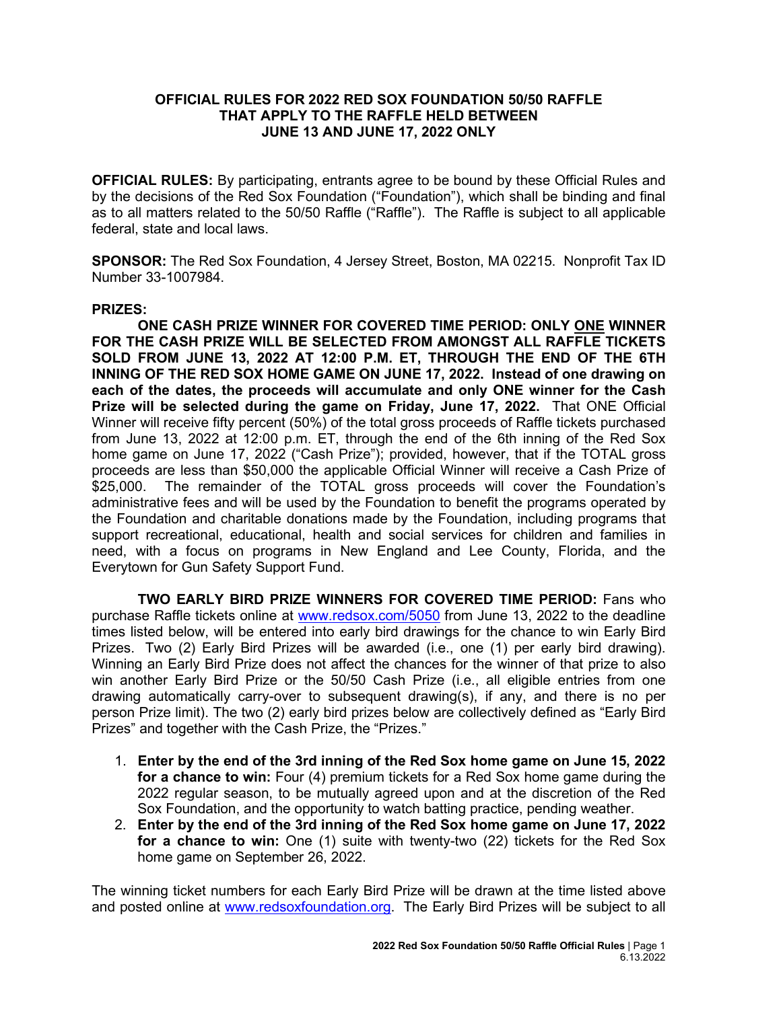## **OFFICIAL RULES FOR 2022 RED SOX FOUNDATION 50/50 RAFFLE THAT APPLY TO THE RAFFLE HELD BETWEEN JUNE 13 AND JUNE 17, 2022 ONLY**

**OFFICIAL RULES:** By participating, entrants agree to be bound by these Official Rules and by the decisions of the Red Sox Foundation ("Foundation"), which shall be binding and final as to all matters related to the 50/50 Raffle ("Raffle"). The Raffle is subject to all applicable federal, state and local laws.

**SPONSOR:** The Red Sox Foundation, 4 Jersey Street, Boston, MA 02215. Nonprofit Tax ID Number 33-1007984.

## **PRIZES:**

**ONE CASH PRIZE WINNER FOR COVERED TIME PERIOD: ONLY ONE WINNER FOR THE CASH PRIZE WILL BE SELECTED FROM AMONGST ALL RAFFLE TICKETS SOLD FROM JUNE 13, 2022 AT 12:00 P.M. ET, THROUGH THE END OF THE 6TH INNING OF THE RED SOX HOME GAME ON JUNE 17, 2022. Instead of one drawing on each of the dates, the proceeds will accumulate and only ONE winner for the Cash Prize will be selected during the game on Friday, June 17, 2022.** That ONE Official [Winner](http://winner/) will receive fifty percent (50%) of the total gross proceeds of Raffle tickets purchased from June 13, 2022 at 12:00 p.m. ET, through the end of the 6th inning of the Red Sox home game on June 17, 2022 ("Cash Prize"); provided, however, that if the TOTAL gross proceeds are less than \$50,000 the applicable Official Winner will receive a Cash Prize of \$25,000. The remainder of the TOTAL gross proceeds will cover the Foundation's administrative fees and will be used by the Foundation to benefit the programs operated by the Foundation and charitable donations made by the Foundation, including programs that support recreational, educational, health and social services for children and families in need, with a focus on programs in New England and Lee County, Florida, and the Everytown for Gun Safety Support Fund.

**TWO EARLY BIRD PRIZE WINNERS FOR COVERED TIME PERIOD:** Fans who purchase Raffle tickets online at [www.redsox.com/5050](http://www.redsox.com/5050) from June 13, 2022 to the deadline times listed below, will be entered into early bird drawings for the chance to win Early Bird Prizes. Two (2) Early Bird Prizes will be awarded (i.e., one (1) per early bird drawing). Winning an Early Bird Prize does not affect the chances for the winner of that prize to also win another Early Bird Prize or the 50/50 Cash Prize (i.e., all eligible entries from one drawing automatically carry-over to subsequent drawing(s), if any, and there is no per person Prize limit). The two (2) early bird prizes below are collectively defined as "Early Bird Prizes" and together with the Cash Prize, the "Prizes."

- 1. **Enter by the end of the 3rd inning of the Red Sox home game on June 15, 2022 for a chance to win:** Four (4) premium tickets for a Red Sox home game during the 2022 regular season, to be mutually agreed upon and at the discretion of the Red Sox Foundation, and the opportunity to watch batting practice, pending weather.
- 2. **Enter by the end of the 3rd inning of the Red Sox home game on June 17, 2022 for a chance to win:** One (1) suite with twenty-two (22) tickets for the Red Sox home game on September 26, 2022.

The winning ticket numbers for each Early Bird Prize will be drawn at the time listed above and posted online at [www.redsoxfoundation.org.](http://www.redsoxfoundation.org/) The Early Bird Prizes will be subject to all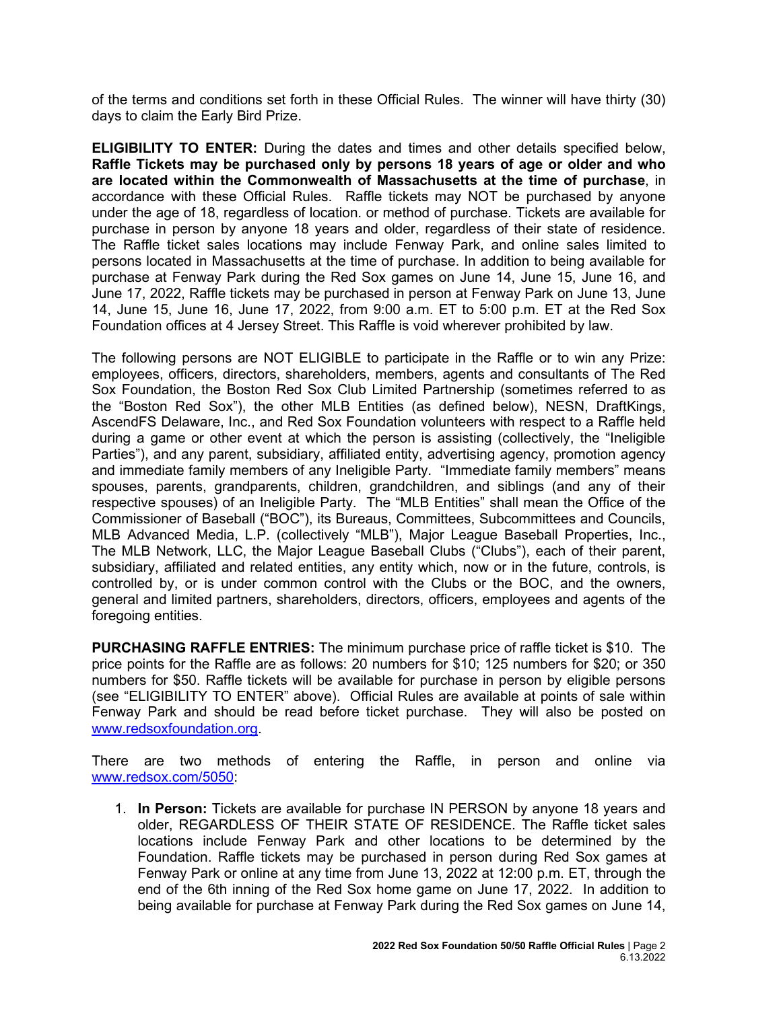of the terms and conditions set forth in these Official Rules. The winner will have thirty (30) days to claim the Early Bird Prize.

**ELIGIBILITY TO ENTER:** During the dates and times and other details specified below, **Raffle Tickets may be purchased only by persons 18 years of age or older and who are located within the Commonwealth of Massachusetts at the time of purchase**, in accordance with these Official Rules. Raffle tickets may NOT be purchased by anyone under the age of 18, regardless of location. or method of purchase. Tickets are available for purchase in person by anyone 18 years and older, regardless of their state of residence. The Raffle ticket sales locations may include Fenway Park, and online sales limited to persons located in Massachusetts at the time of purchase. In addition to being available for purchase at Fenway Park during the Red Sox games on June 14, June 15, June 16, and June 17, 2022, Raffle tickets may be purchased in person at Fenway Park on June 13, June 14, June 15, June 16, June 17, 2022, from 9:00 a.m. ET to 5:00 p.m. ET at the Red Sox Foundation offices at 4 Jersey Street. This Raffle is void wherever prohibited by law.

The following persons are NOT ELIGIBLE to participate in the Raffle or to win any Prize: employees, officers, directors, shareholders, members, agents and consultants of The Red Sox Foundation, the Boston Red Sox Club Limited Partnership (sometimes referred to as the "Boston Red Sox"), the other MLB Entities (as defined below), NESN, DraftKings, AscendFS Delaware, Inc., and Red Sox Foundation volunteers with respect to a Raffle held during a game or other event at which the person is assisting (collectively, the "Ineligible Parties"), and any parent, subsidiary, affiliated entity, advertising agency, promotion agency and immediate family members of any Ineligible Party. "Immediate family members" means spouses, parents, grandparents, children, grandchildren, and siblings (and any of their respective spouses) of an Ineligible Party. The "MLB Entities" shall mean the Office of the Commissioner of Baseball ("BOC"), its Bureaus, Committees, Subcommittees and Councils, MLB Advanced Media, L.P. (collectively "MLB"), Major League Baseball Properties, Inc., The MLB Network, LLC, the Major League Baseball Clubs ("Clubs"), each of their parent, subsidiary, affiliated and related entities, any entity which, now or in the future, controls, is controlled by, or is under common control with the Clubs or the BOC, and the owners, general and limited partners, shareholders, directors, officers, employees and agents of the foregoing entities.

**PURCHASING RAFFLE ENTRIES:** The minimum purchase price of raffle ticket is \$10. The price points for the Raffle are as follows: 20 numbers for \$10; 125 numbers for \$20; or 350 numbers for \$50. Raffle tickets will be available for purchase in person by eligible persons (see "ELIGIBILITY TO ENTER" above). Official Rules are available at points of sale within Fenway Park and should be read before ticket purchase. They will also be posted on [www.redsoxfoundation.org.](http://www.redsoxfoundation.org/)

There are two methods of entering the Raffle, in person and online via [www.redsox.com/5050:](http://www.redsox.com/5050)

1. **In Person:** Tickets are available for purchase IN PERSON by anyone 18 years and older, REGARDLESS OF THEIR STATE OF RESIDENCE. The Raffle ticket sales locations include Fenway Park and other locations to be determined by the Foundation. Raffle tickets may be purchased in person during Red Sox games at Fenway Park or online at any time from June 13, 2022 at 12:00 p.m. ET, through the end of the 6th inning of the Red Sox home game on June 17, 2022. In addition to being available for purchase at Fenway Park during the Red Sox games on June 14,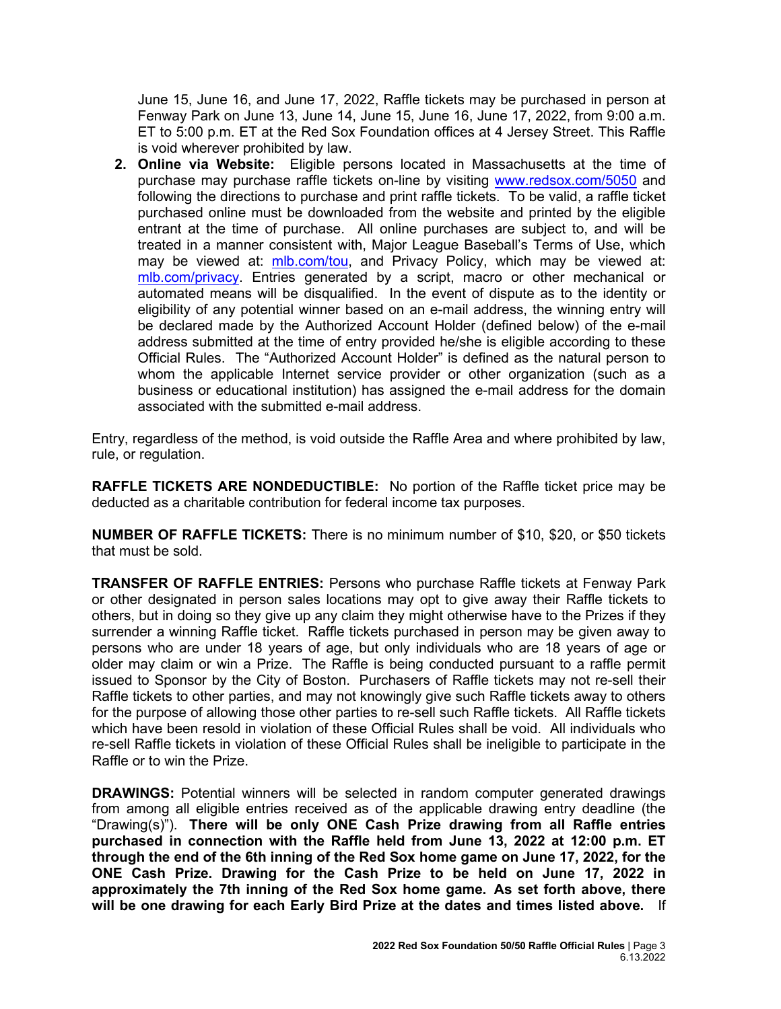June 15, June 16, and June 17, 2022, Raffle tickets may be purchased in person at Fenway Park on June 13, June 14, June 15, June 16, June 17, 2022, from 9:00 a.m. ET to 5:00 p.m. ET at the Red Sox Foundation offices at 4 Jersey Street. This Raffle is void wherever prohibited by law.

**2. Online via Website:** Eligible persons located in Massachusetts at the time of purchase may purchase raffle tickets on-line by visiting [www.redsox.com/5050](http://www.redsox.com/5050) and following the directions to purchase and print raffle tickets. To be valid, a raffle ticket purchased online must be downloaded from the website and printed by the eligible entrant at the time of purchase. All online purchases are subject to, and will be treated in a manner consistent with, Major League Baseball's Terms of Use, which may be viewed at: [mlb.com/tou,](http://mlb.mlb.com/mlb/official_info/about_mlb_com/terms_of_use.jsp) and Privacy Policy, which may be viewed at: [mlb.com/privacy.](http://www.mlb.com/privacy) Entries generated by a script, macro or other mechanical or automated means will be disqualified. In the event of dispute as to the identity or eligibility of any potential winner based on an e-mail address, the winning entry will be declared made by the Authorized Account Holder (defined below) of the e-mail address submitted at the time of entry provided he/she is eligible according to these Official Rules. The "Authorized Account Holder" is defined as the natural person to whom the applicable Internet service provider or other organization (such as a business or educational institution) has assigned the e-mail address for the domain associated with the submitted e-mail address.

Entry, regardless of the method, is void outside the Raffle Area and where prohibited by law, rule, or regulation.

**RAFFLE TICKETS ARE NONDEDUCTIBLE:** No portion of the Raffle ticket price may be deducted as a charitable contribution for federal income tax purposes.

**NUMBER OF RAFFLE TICKETS:** There is no minimum number of \$10, \$20, or \$50 tickets that must be sold.

**TRANSFER OF RAFFLE ENTRIES:** Persons who purchase Raffle tickets at Fenway Park or other designated in person sales locations may opt to give away their Raffle tickets to others, but in doing so they give up any claim they might otherwise have to the Prizes if they surrender a winning Raffle ticket. Raffle tickets purchased in person may be given away to persons who are under 18 years of age, but only individuals who are 18 years of age or older may claim or win a Prize. The Raffle is being conducted pursuant to a raffle permit issued to Sponsor by the City of Boston. Purchasers of Raffle tickets may not re-sell their Raffle tickets to other parties, and may not knowingly give such Raffle tickets away to others for the purpose of allowing those other parties to re-sell such Raffle tickets. All Raffle tickets which have been resold in violation of these Official Rules shall be void. All individuals who re-sell Raffle tickets in violation of these Official Rules shall be ineligible to participate in the Raffle or to win the Prize.

**DRAWINGS:** Potential winners will be selected in random computer generated drawings from among all eligible entries received as of the applicable drawing entry deadline (the "Drawing(s)"). **There will be only ONE Cash Prize drawing from all Raffle entries purchased in connection with the Raffle held from June 13, 2022 at 12:00 p.m. ET through the end of the 6th inning of the Red Sox home game on June 17, 2022, for the ONE Cash Prize. Drawing for the Cash Prize to be held on June 17, 2022 in approximately the 7th inning of the Red Sox home game. As set forth above, there will be one drawing for each Early Bird Prize at the dates and times listed above.** If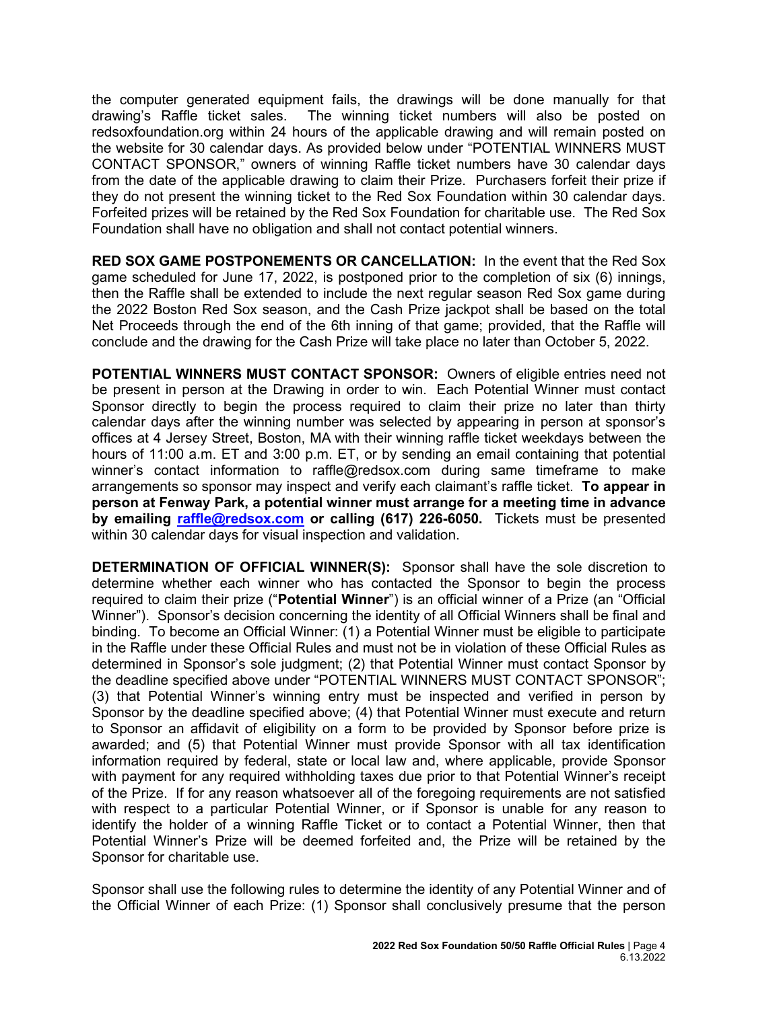the computer generated equipment fails, the drawings will be done manually for that drawing's Raffle ticket sales. The winning ticket numbers will also be posted on redsoxfoundation.org within 24 hours of the applicable drawing and will remain posted on the website for 30 calendar days. As provided below under "POTENTIAL WINNERS MUST CONTACT SPONSOR," owners of winning Raffle ticket numbers have 30 calendar days from the date of the applicable drawing to claim their Prize. Purchasers forfeit their prize if they do not present the winning ticket to the Red Sox Foundation within 30 calendar days. Forfeited prizes will be retained by the Red Sox Foundation for charitable use. The Red Sox Foundation shall have no obligation and shall not contact potential winners.

**RED SOX GAME POSTPONEMENTS OR CANCELLATION:** In the event that the Red Sox game scheduled for June 17, 2022, is postponed prior to the completion of six (6) innings, then the Raffle shall be extended to include the next regular season Red Sox game during the 2022 Boston Red Sox season, and the Cash Prize jackpot shall be based on the total Net Proceeds through the end of the 6th inning of that game; provided, that the Raffle will conclude and the drawing for the Cash Prize will take place no later than October 5, 2022.

**POTENTIAL WINNERS MUST CONTACT SPONSOR:** Owners of eligible entries need not be present in person at the Drawing in order to win. Each Potential Winner must contact Sponsor directly to begin the process required to claim their prize no later than thirty calendar days after the winning number was selected by appearing in person at sponsor's offices at 4 Jersey Street, Boston, MA with their winning raffle ticket weekdays between the hours of 11:00 a.m. ET and 3:00 p.m. ET, or by sending an email containing that potential winner's contact information to [raffle@redsox.com](mailto:redsoxraffle@redsox.com) during same timeframe to make arrangements so sponsor may inspect and verify each claimant's raffle ticket. **To appear in person at Fenway Park, a potential winner must arrange for a meeting time in advance by emailing raffle@redsox.com or calling (617) 226-6050.** Tickets must be presented within 30 calendar days for visual inspection and validation.

**DETERMINATION OF OFFICIAL WINNER(S):** Sponsor shall have the sole discretion to determine whether each winner who has contacted the Sponsor to begin the process required to claim their prize ("**Potential Winner**") is an official winner of a Prize (an "Official Winner"). Sponsor's decision concerning the identity of all Official Winners shall be final and binding. To become an Official Winner: (1) a Potential Winner must be eligible to participate in the Raffle under these Official Rules and must not be in violation of these Official Rules as determined in Sponsor's sole judgment; (2) that Potential Winner must contact Sponsor by the deadline specified above under "POTENTIAL WINNERS MUST CONTACT SPONSOR"; (3) that Potential Winner's winning entry must be inspected and verified in person by Sponsor by the deadline specified above; (4) that Potential Winner must execute and return to Sponsor an affidavit of eligibility on a form to be provided by Sponsor before prize is awarded; and (5) that Potential Winner must provide Sponsor with all tax identification information required by federal, state or local law and, where applicable, provide Sponsor with payment for any required withholding taxes due prior to that Potential Winner's receipt of the Prize. If for any reason whatsoever all of the foregoing requirements are not satisfied with respect to a particular Potential Winner, or if Sponsor is unable for any reason to identify the holder of a winning Raffle Ticket or to contact a Potential Winner, then that Potential Winner's Prize will be deemed forfeited and, the Prize will be retained by the Sponsor for charitable use.

Sponsor shall use the following rules to determine the identity of any Potential Winner and of the Official Winner of each Prize: (1) Sponsor shall conclusively presume that the person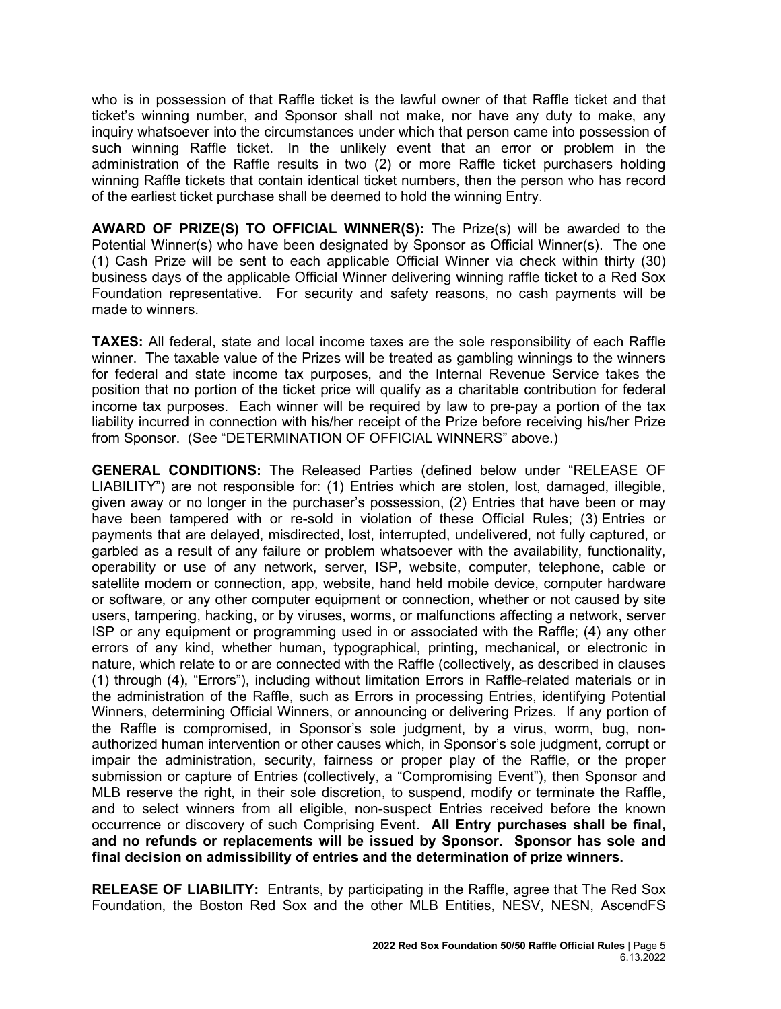who is in possession of that Raffle ticket is the lawful owner of that Raffle ticket and that ticket's winning number, and Sponsor shall not make, nor have any duty to make, any inquiry whatsoever into the circumstances under which that person came into possession of such winning Raffle ticket. In the unlikely event that an error or problem in the administration of the Raffle results in two (2) or more Raffle ticket purchasers holding winning Raffle tickets that contain identical ticket numbers, then the person who has record of the earliest ticket purchase shall be deemed to hold the winning Entry.

**AWARD OF PRIZE(S) TO OFFICIAL WINNER(S):** The Prize(s) will be awarded to the Potential Winner(s) who have been designated by Sponsor as Official Winner(s). The one (1) Cash Prize will be sent to each applicable Official Winner via check within thirty (30) business days of the applicable Official Winner delivering winning raffle ticket to a Red Sox Foundation representative. For security and safety reasons, no cash payments will be made to winners.

**TAXES:** All federal, state and local income taxes are the sole responsibility of each Raffle winner. The taxable value of the Prizes will be treated as gambling winnings to the winners for federal and state income tax purposes, and the Internal Revenue Service takes the position that no portion of the ticket price will qualify as a charitable contribution for federal income tax purposes. Each winner will be required by law to pre-pay a portion of the tax liability incurred in connection with his/her receipt of the Prize before receiving his/her Prize from Sponsor. (See "DETERMINATION OF OFFICIAL WINNERS" above.)

**GENERAL CONDITIONS:** The Released Parties (defined below under "RELEASE OF LIABILITY") are not responsible for: (1) Entries which are stolen, lost, damaged, illegible, given away or no longer in the purchaser's possession, (2) Entries that have been or may have been tampered with or re-sold in violation of these Official Rules; (3) Entries or payments that are delayed, misdirected, lost, interrupted, undelivered, not fully captured, or garbled as a result of any failure or problem whatsoever with the availability, functionality, operability or use of any network, server, ISP, website, computer, telephone, cable or satellite modem or connection, app, website, hand held mobile device, computer hardware or software, or any other computer equipment or connection, whether or not caused by site users, tampering, hacking, or by viruses, worms, or malfunctions affecting a network, server ISP or any equipment or programming used in or associated with the Raffle; (4) any other errors of any kind, whether human, typographical, printing, mechanical, or electronic in nature, which relate to or are connected with the Raffle (collectively, as described in clauses (1) through (4), "Errors"), including without limitation Errors in Raffle-related materials or in the administration of the Raffle, such as Errors in processing Entries, identifying Potential Winners, determining Official Winners, or announcing or delivering Prizes. If any portion of the Raffle is compromised, in Sponsor's sole judgment, by a virus, worm, bug, nonauthorized human intervention or other causes which, in Sponsor's sole judgment, corrupt or impair the administration, security, fairness or proper play of the Raffle, or the proper submission or capture of Entries (collectively, a "Compromising Event"), then Sponsor and MLB reserve the right, in their sole discretion, to suspend, modify or terminate the Raffle, and to select winners from all eligible, non-suspect Entries received before the known occurrence or discovery of such Comprising Event. **All Entry purchases shall be final, and no refunds or replacements will be issued by Sponsor. Sponsor has sole and final decision on admissibility of entries and the determination of prize winners.**

**RELEASE OF LIABILITY:** Entrants, by participating in the Raffle, agree that The Red Sox Foundation, the Boston Red Sox and the other MLB Entities, NESV, NESN, AscendFS